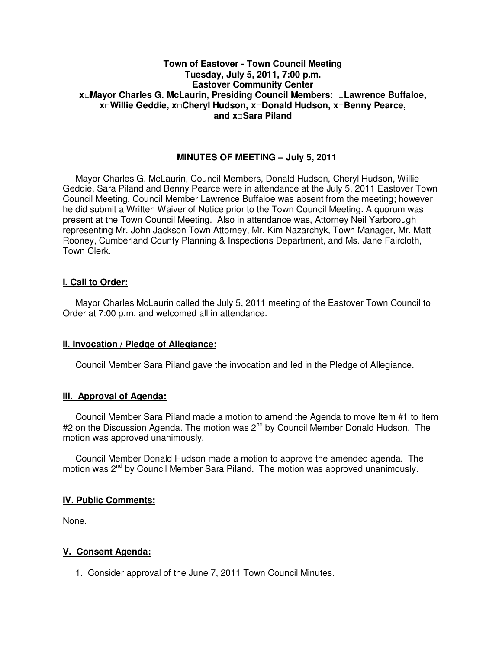# **Town of Eastover - Town Council Meeting Tuesday, July 5, 2011, 7:00 p.m. Eastover Community Center x□Mayor Charles G. McLaurin, Presiding Council Members: □Lawrence Buffaloe, x□Willie Geddie, x□Cheryl Hudson, x□Donald Hudson, x□Benny Pearce, and x□Sara Piland**

# **MINUTES OF MEETING – July 5, 2011**

Mayor Charles G. McLaurin, Council Members, Donald Hudson, Cheryl Hudson, Willie Geddie, Sara Piland and Benny Pearce were in attendance at the July 5, 2011 Eastover Town Council Meeting. Council Member Lawrence Buffaloe was absent from the meeting; however he did submit a Written Waiver of Notice prior to the Town Council Meeting. A quorum was present at the Town Council Meeting. Also in attendance was, Attorney Neil Yarborough representing Mr. John Jackson Town Attorney, Mr. Kim Nazarchyk, Town Manager, Mr. Matt Rooney, Cumberland County Planning & Inspections Department, and Ms. Jane Faircloth, Town Clerk.

# **I. Call to Order:**

Mayor Charles McLaurin called the July 5, 2011 meeting of the Eastover Town Council to Order at 7:00 p.m. and welcomed all in attendance.

## **II. Invocation / Pledge of Allegiance:**

Council Member Sara Piland gave the invocation and led in the Pledge of Allegiance.

## **III. Approval of Agenda:**

 Council Member Sara Piland made a motion to amend the Agenda to move Item #1 to Item #2 on the Discussion Agenda. The motion was 2<sup>nd</sup> by Council Member Donald Hudson. The motion was approved unanimously.

 Council Member Donald Hudson made a motion to approve the amended agenda. The motion was 2<sup>nd</sup> by Council Member Sara Piland. The motion was approved unanimously.

## **IV. Public Comments:**

None.

## **V. Consent Agenda:**

1. Consider approval of the June 7, 2011 Town Council Minutes.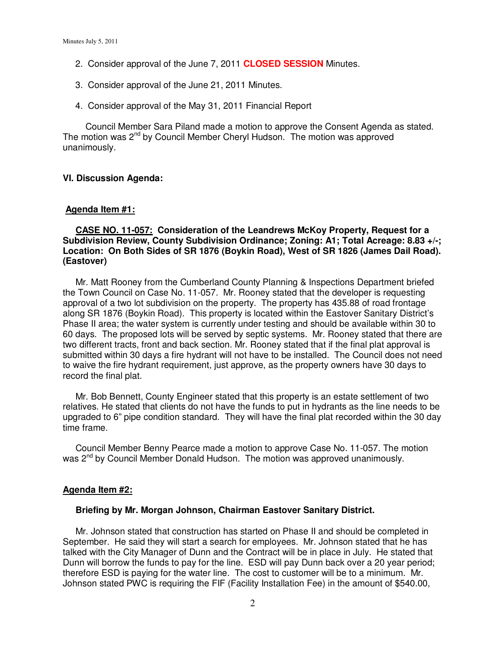- 2. Consider approval of the June 7, 2011 **CLOSED SESSION** Minutes.
- 3. Consider approval of the June 21, 2011 Minutes.
- 4. Consider approval of the May 31, 2011 Financial Report

Council Member Sara Piland made a motion to approve the Consent Agenda as stated. The motion was 2<sup>nd</sup> by Council Member Cheryl Hudson. The motion was approved unanimously.

#### **VI. Discussion Agenda:**

#### **Agenda Item #1:**

# **CASE NO. 11-057: Consideration of the Leandrews McKoy Property, Request for a Subdivision Review, County Subdivision Ordinance; Zoning: A1; Total Acreage: 8.83 +/-; Location: On Both Sides of SR 1876 (Boykin Road), West of SR 1826 (James Dail Road). (Eastover)**

 Mr. Matt Rooney from the Cumberland County Planning & Inspections Department briefed the Town Council on Case No. 11-057. Mr. Rooney stated that the developer is requesting approval of a two lot subdivision on the property. The property has 435.88 of road frontage along SR 1876 (Boykin Road). This property is located within the Eastover Sanitary District's Phase II area; the water system is currently under testing and should be available within 30 to 60 days. The proposed lots will be served by septic systems. Mr. Rooney stated that there are two different tracts, front and back section. Mr. Rooney stated that if the final plat approval is submitted within 30 days a fire hydrant will not have to be installed. The Council does not need to waive the fire hydrant requirement, just approve, as the property owners have 30 days to record the final plat.

 Mr. Bob Bennett, County Engineer stated that this property is an estate settlement of two relatives. He stated that clients do not have the funds to put in hydrants as the line needs to be upgraded to 6" pipe condition standard. They will have the final plat recorded within the 30 day time frame.

 Council Member Benny Pearce made a motion to approve Case No. 11-057. The motion was 2<sup>nd</sup> by Council Member Donald Hudson. The motion was approved unanimously.

#### **Agenda Item #2:**

#### **Briefing by Mr. Morgan Johnson, Chairman Eastover Sanitary District.**

 Mr. Johnson stated that construction has started on Phase II and should be completed in September. He said they will start a search for employees. Mr. Johnson stated that he has talked with the City Manager of Dunn and the Contract will be in place in July. He stated that Dunn will borrow the funds to pay for the line. ESD will pay Dunn back over a 20 year period; therefore ESD is paying for the water line. The cost to customer will be to a minimum. Mr. Johnson stated PWC is requiring the FIF (Facility Installation Fee) in the amount of \$540.00,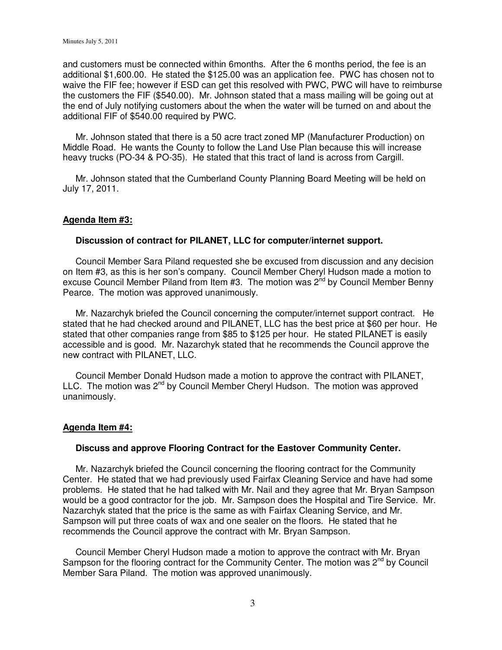and customers must be connected within 6months. After the 6 months period, the fee is an additional \$1,600.00. He stated the \$125.00 was an application fee. PWC has chosen not to waive the FIF fee; however if ESD can get this resolved with PWC, PWC will have to reimburse the customers the FIF (\$540.00). Mr. Johnson stated that a mass mailing will be going out at the end of July notifying customers about the when the water will be turned on and about the additional FIF of \$540.00 required by PWC.

 Mr. Johnson stated that there is a 50 acre tract zoned MP (Manufacturer Production) on Middle Road. He wants the County to follow the Land Use Plan because this will increase heavy trucks (PO-34 & PO-35). He stated that this tract of land is across from Cargill.

 Mr. Johnson stated that the Cumberland County Planning Board Meeting will be held on July 17, 2011.

# **Agenda Item #3:**

## **Discussion of contract for PILANET, LLC for computer/internet support.**

 Council Member Sara Piland requested she be excused from discussion and any decision on Item #3, as this is her son's company. Council Member Cheryl Hudson made a motion to excuse Council Member Piland from Item #3. The motion was  $2^{nd}$  by Council Member Benny Pearce. The motion was approved unanimously.

 Mr. Nazarchyk briefed the Council concerning the computer/internet support contract. He stated that he had checked around and PILANET, LLC has the best price at \$60 per hour. He stated that other companies range from \$85 to \$125 per hour. He stated PILANET is easily accessible and is good. Mr. Nazarchyk stated that he recommends the Council approve the new contract with PILANET, LLC.

 Council Member Donald Hudson made a motion to approve the contract with PILANET, LLC. The motion was  $2^{nd}$  by Council Member Cheryl Hudson. The motion was approved unanimously.

#### **Agenda Item #4:**

#### **Discuss and approve Flooring Contract for the Eastover Community Center.**

 Mr. Nazarchyk briefed the Council concerning the flooring contract for the Community Center. He stated that we had previously used Fairfax Cleaning Service and have had some problems. He stated that he had talked with Mr. Nail and they agree that Mr. Bryan Sampson would be a good contractor for the job. Mr. Sampson does the Hospital and Tire Service. Mr. Nazarchyk stated that the price is the same as with Fairfax Cleaning Service, and Mr. Sampson will put three coats of wax and one sealer on the floors. He stated that he recommends the Council approve the contract with Mr. Bryan Sampson.

 Council Member Cheryl Hudson made a motion to approve the contract with Mr. Bryan Sampson for the flooring contract for the Community Center. The motion was  $2^{nd}$  by Council Member Sara Piland. The motion was approved unanimously.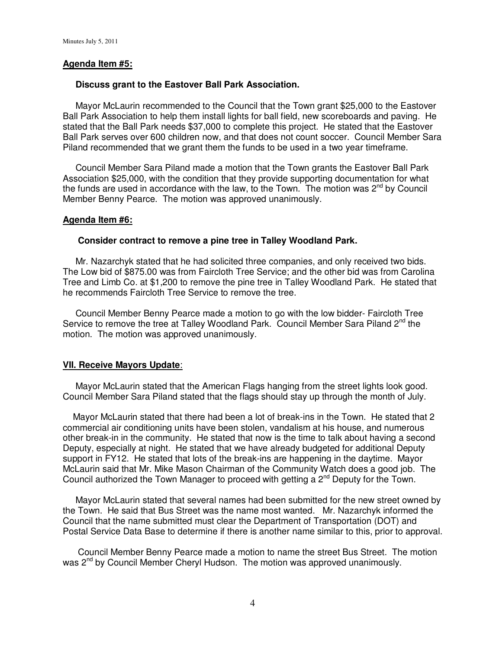## **Agenda Item #5:**

#### **Discuss grant to the Eastover Ball Park Association.**

 Mayor McLaurin recommended to the Council that the Town grant \$25,000 to the Eastover Ball Park Association to help them install lights for ball field, new scoreboards and paving. He stated that the Ball Park needs \$37,000 to complete this project. He stated that the Eastover Ball Park serves over 600 children now, and that does not count soccer. Council Member Sara Piland recommended that we grant them the funds to be used in a two year timeframe.

 Council Member Sara Piland made a motion that the Town grants the Eastover Ball Park Association \$25,000, with the condition that they provide supporting documentation for what the funds are used in accordance with the law, to the Town. The motion was  $2^{nd}$  by Council Member Benny Pearce. The motion was approved unanimously.

#### **Agenda Item #6:**

## **Consider contract to remove a pine tree in Talley Woodland Park.**

 Mr. Nazarchyk stated that he had solicited three companies, and only received two bids. The Low bid of \$875.00 was from Faircloth Tree Service; and the other bid was from Carolina Tree and Limb Co. at \$1,200 to remove the pine tree in Talley Woodland Park. He stated that he recommends Faircloth Tree Service to remove the tree.

 Council Member Benny Pearce made a motion to go with the low bidder- Faircloth Tree Service to remove the tree at Talley Woodland Park. Council Member Sara Piland  $2<sup>nd</sup>$  the motion. The motion was approved unanimously.

## **VII. Receive Mayors Update**:

 Mayor McLaurin stated that the American Flags hanging from the street lights look good. Council Member Sara Piland stated that the flags should stay up through the month of July.

 Mayor McLaurin stated that there had been a lot of break-ins in the Town. He stated that 2 commercial air conditioning units have been stolen, vandalism at his house, and numerous other break-in in the community. He stated that now is the time to talk about having a second Deputy, especially at night. He stated that we have already budgeted for additional Deputy support in FY12. He stated that lots of the break-ins are happening in the daytime. Mayor McLaurin said that Mr. Mike Mason Chairman of the Community Watch does a good job. The Council authorized the Town Manager to proceed with getting a  $2<sup>nd</sup>$  Deputy for the Town.

 Mayor McLaurin stated that several names had been submitted for the new street owned by the Town. He said that Bus Street was the name most wanted. Mr. Nazarchyk informed the Council that the name submitted must clear the Department of Transportation (DOT) and Postal Service Data Base to determine if there is another name similar to this, prior to approval.

 Council Member Benny Pearce made a motion to name the street Bus Street. The motion was 2<sup>nd</sup> by Council Member Cheryl Hudson. The motion was approved unanimously.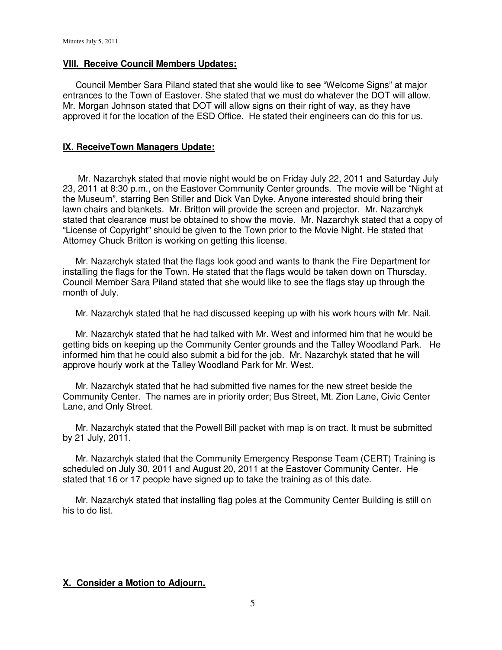#### **VIII. Receive Council Members Updates:**

 Council Member Sara Piland stated that she would like to see "Welcome Signs" at major entrances to the Town of Eastover. She stated that we must do whatever the DOT will allow. Mr. Morgan Johnson stated that DOT will allow signs on their right of way, as they have approved it for the location of the ESD Office. He stated their engineers can do this for us.

# **IX. ReceiveTown Managers Update:**

 Mr. Nazarchyk stated that movie night would be on Friday July 22, 2011 and Saturday July 23, 2011 at 8:30 p.m., on the Eastover Community Center grounds. The movie will be "Night at the Museum", starring Ben Stiller and Dick Van Dyke. Anyone interested should bring their lawn chairs and blankets. Mr. Britton will provide the screen and projector. Mr. Nazarchyk stated that clearance must be obtained to show the movie. Mr. Nazarchyk stated that a copy of "License of Copyright" should be given to the Town prior to the Movie Night. He stated that Attorney Chuck Britton is working on getting this license.

 Mr. Nazarchyk stated that the flags look good and wants to thank the Fire Department for installing the flags for the Town. He stated that the flags would be taken down on Thursday. Council Member Sara Piland stated that she would like to see the flags stay up through the month of July.

Mr. Nazarchyk stated that he had discussed keeping up with his work hours with Mr. Nail.

 Mr. Nazarchyk stated that he had talked with Mr. West and informed him that he would be getting bids on keeping up the Community Center grounds and the Talley Woodland Park. He informed him that he could also submit a bid for the job. Mr. Nazarchyk stated that he will approve hourly work at the Talley Woodland Park for Mr. West.

 Mr. Nazarchyk stated that he had submitted five names for the new street beside the Community Center. The names are in priority order; Bus Street, Mt. Zion Lane, Civic Center Lane, and Only Street.

 Mr. Nazarchyk stated that the Powell Bill packet with map is on tract. It must be submitted by 21 July, 2011.

 Mr. Nazarchyk stated that the Community Emergency Response Team (CERT) Training is scheduled on July 30, 2011 and August 20, 2011 at the Eastover Community Center. He stated that 16 or 17 people have signed up to take the training as of this date.

 Mr. Nazarchyk stated that installing flag poles at the Community Center Building is still on his to do list.

## **X. Consider a Motion to Adjourn.**